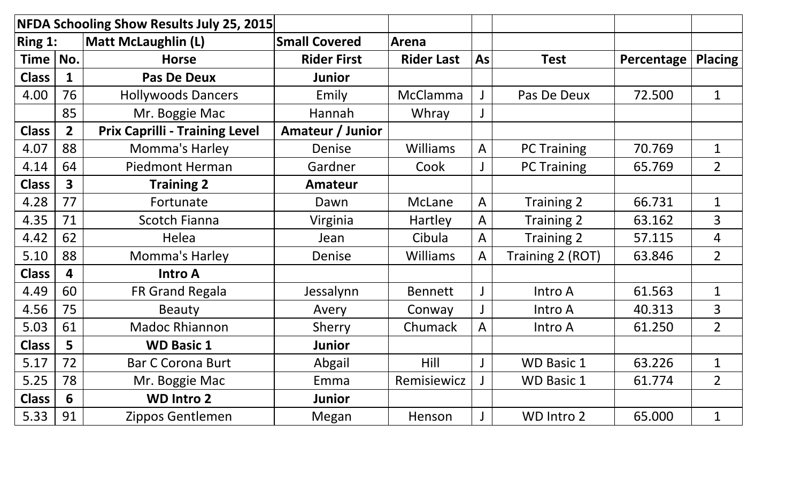|                                                  |                         | NFDA Schooling Show Results July 25, 2015 |                    |                   |              |                    |            |                |
|--------------------------------------------------|-------------------------|-------------------------------------------|--------------------|-------------------|--------------|--------------------|------------|----------------|
| $\sqrt{R}$ Ring 1:<br><b>Matt McLaughlin (L)</b> |                         | <b>Small Covered</b>                      | Arena              |                   |              |                    |            |                |
| <b>Time</b>                                      | No.                     | <b>Horse</b>                              | <b>Rider First</b> | <b>Rider Last</b> | <b>As</b>    | <b>Test</b>        | Percentage | <b>Placing</b> |
| <b>Class</b>                                     | $\mathbf{1}$            | <b>Pas De Deux</b>                        | <b>Junior</b>      |                   |              |                    |            |                |
| 4.00                                             | 76                      | <b>Hollywoods Dancers</b>                 | Emily              | McClamma          |              | Pas De Deux        | 72.500     | $\mathbf 1$    |
|                                                  | 85                      | Mr. Boggie Mac                            | Hannah             | Whray             | $\mathsf{J}$ |                    |            |                |
| <b>Class</b>                                     | $\overline{2}$          | <b>Prix Caprilli - Training Level</b>     | Amateur / Junior   |                   |              |                    |            |                |
| 4.07                                             | 88                      | Momma's Harley                            | Denise             | <b>Williams</b>   | $\mathsf{A}$ | <b>PC Training</b> | 70.769     | $\mathbf 1$    |
| 4.14                                             | 64                      | <b>Piedmont Herman</b>                    | Gardner            | Cook              | $\mathsf J$  | <b>PC Training</b> | 65.769     | $\overline{2}$ |
| <b>Class</b>                                     | $\overline{\mathbf{3}}$ | <b>Training 2</b>                         | <b>Amateur</b>     |                   |              |                    |            |                |
| 4.28                                             | 77                      | Fortunate                                 | Dawn               | McLane            | $\mathsf{A}$ | Training 2         | 66.731     | $\mathbf 1$    |
| 4.35                                             | 71                      | <b>Scotch Fianna</b>                      | Virginia           | Hartley           | $\mathsf{A}$ | Training 2         | 63.162     | 3              |
| 4.42                                             | 62                      | Helea                                     | Jean               | Cibula            | A            | Training 2         | 57.115     | 4              |
| 5.10                                             | 88                      | Momma's Harley                            | <b>Denise</b>      | <b>Williams</b>   | $\mathsf{A}$ | Training 2 (ROT)   | 63.846     | $\overline{2}$ |
| <b>Class</b>                                     | 4                       | <b>Intro A</b>                            |                    |                   |              |                    |            |                |
| 4.49                                             | 60                      | FR Grand Regala                           | Jessalynn          | <b>Bennett</b>    | $\mathsf{J}$ | Intro A            | 61.563     | $\mathbf 1$    |
| 4.56                                             | 75                      | <b>Beauty</b>                             | Avery              | Conway            | $\mathsf J$  | Intro A            | 40.313     | $\overline{3}$ |
| 5.03                                             | 61                      | <b>Madoc Rhiannon</b>                     | Sherry             | Chumack           | $\mathsf{A}$ | Intro A            | 61.250     | $\overline{2}$ |
| <b>Class</b>                                     | 5                       | <b>WD Basic 1</b>                         | <b>Junior</b>      |                   |              |                    |            |                |
| 5.17                                             | 72                      | <b>Bar C Corona Burt</b>                  | Abgail             | Hill              | $\mathsf{J}$ | <b>WD Basic 1</b>  | 63.226     | $\mathbf 1$    |
| 5.25                                             | 78                      | Mr. Boggie Mac                            | Emma               | Remisiewicz       |              | <b>WD Basic 1</b>  | 61.774     | $\overline{2}$ |
| <b>Class</b>                                     | 6                       | <b>WD Intro 2</b>                         | <b>Junior</b>      |                   |              |                    |            |                |
| 5.33                                             | 91                      | Zippos Gentlemen                          | Megan              | Henson            | $\mathsf{J}$ | WD Intro 2         | 65.000     | $\mathbf{1}$   |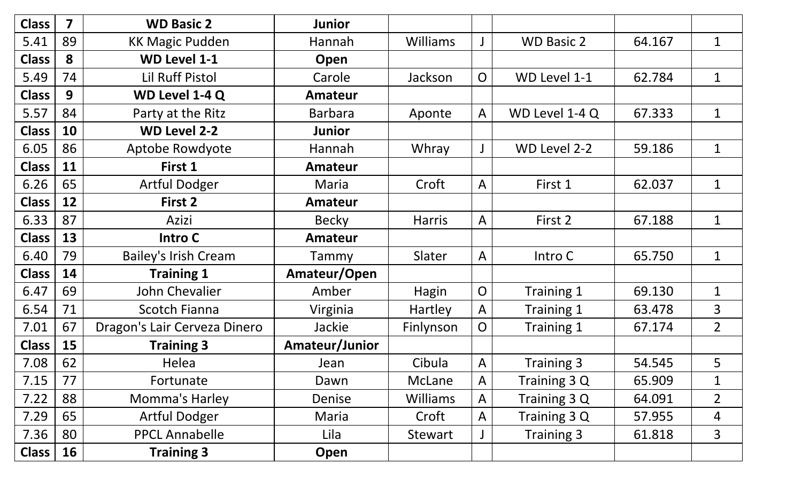| <b>Class</b> | $\overline{\mathbf{z}}$ | <b>WD Basic 2</b>            | <b>Junior</b>  |                 |                |                   |        |                |
|--------------|-------------------------|------------------------------|----------------|-----------------|----------------|-------------------|--------|----------------|
| 5.41         | 89                      | <b>KK Magic Pudden</b>       | Hannah         | <b>Williams</b> | $\mathsf J$    | <b>WD Basic 2</b> | 64.167 | $\mathbf 1$    |
| <b>Class</b> | 8                       | <b>WD Level 1-1</b>          | Open           |                 |                |                   |        |                |
| 5.49         | 74                      | <b>Lil Ruff Pistol</b>       | Carole         | Jackson         | $\overline{O}$ | WD Level 1-1      | 62.784 | $\mathbf 1$    |
| <b>Class</b> | 9                       | WD Level 1-4 Q               | <b>Amateur</b> |                 |                |                   |        |                |
| 5.57         | 84                      | Party at the Ritz            | <b>Barbara</b> | Aponte          | $\mathsf{A}$   | WD Level 1-4 Q    | 67.333 | $\mathbf 1$    |
| <b>Class</b> | 10                      | <b>WD Level 2-2</b>          | <b>Junior</b>  |                 |                |                   |        |                |
| 6.05         | 86                      | Aptobe Rowdyote              | Hannah         | Whray           | $\mathsf{J}$   | WD Level 2-2      | 59.186 | $\mathbf 1$    |
| <b>Class</b> | 11                      | First 1                      | <b>Amateur</b> |                 |                |                   |        |                |
| 6.26         | 65                      | <b>Artful Dodger</b>         | Maria          | Croft           | $\mathsf{A}$   | First 1           | 62.037 | $\mathbf 1$    |
| <b>Class</b> | 12                      | First 2                      | <b>Amateur</b> |                 |                |                   |        |                |
| 6.33         | 87                      | Azizi                        | <b>Becky</b>   | <b>Harris</b>   | $\mathsf{A}$   | First 2           | 67.188 | $\mathbf 1$    |
| <b>Class</b> | 13                      | Intro C                      | <b>Amateur</b> |                 |                |                   |        |                |
| 6.40         | 79                      | <b>Bailey's Irish Cream</b>  | <b>Tammy</b>   | Slater          | $\mathsf{A}$   | Intro C           | 65.750 | $\mathbf 1$    |
| <b>Class</b> | 14                      | <b>Training 1</b>            | Amateur/Open   |                 |                |                   |        |                |
| 6.47         | 69                      | John Chevalier               | Amber          | Hagin           | $\overline{O}$ | Training 1        | 69.130 | $\mathbf 1$    |
| 6.54         | 71                      | <b>Scotch Fianna</b>         | Virginia       | <b>Hartley</b>  | $\mathsf{A}$   | Training 1        | 63.478 | 3              |
| 7.01         | 67                      | Dragon's Lair Cerveza Dinero | Jackie         | Finlynson       | $\overline{O}$ | Training 1        | 67.174 | 2 <sup>1</sup> |
| <b>Class</b> | 15                      | <b>Training 3</b>            | Amateur/Junior |                 |                |                   |        |                |
| 7.08         | 62                      | Helea                        | Jean           | Cibula          | $\mathsf{A}$   | Training 3        | 54.545 | 5              |
| 7.15         | 77                      | Fortunate                    | Dawn           | McLane          | $\mathsf{A}$   | Training 3 Q      | 65.909 | 1              |
| 7.22         | 88                      | Momma's Harley               | Denise         | <b>Williams</b> | $\mathsf{A}$   | Training 3 Q      | 64.091 | $\overline{2}$ |
| 7.29         | 65                      | <b>Artful Dodger</b>         | Maria          | Croft           | $\mathsf{A}$   | Training 3 Q      | 57.955 | 4              |
| 7.36         | 80                      | <b>PPCL Annabelle</b>        | Lila           | Stewart         |                | Training 3        | 61.818 | 3              |
| Class        | <b>16</b>               | <b>Training 3</b>            | Open           |                 |                |                   |        |                |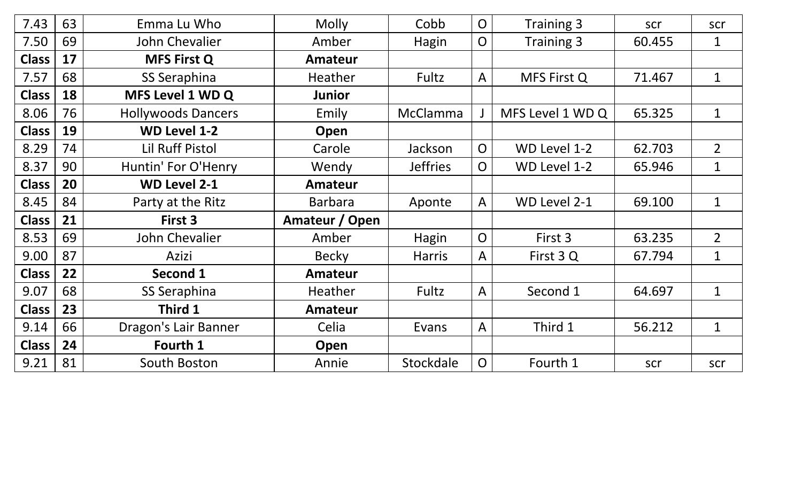| 7.43         | 63 | Emma Lu Who               | <b>Molly</b>   | Cobb            | $\overline{O}$ | <b>Training 3</b> | scr    | scr            |
|--------------|----|---------------------------|----------------|-----------------|----------------|-------------------|--------|----------------|
| 7.50         | 69 | John Chevalier            | Amber          | Hagin           | $\overline{O}$ | Training 3        | 60.455 | $\mathbf 1$    |
| <b>Class</b> | 17 | <b>MFS First Q</b>        | <b>Amateur</b> |                 |                |                   |        |                |
| 7.57         | 68 | <b>SS Seraphina</b>       | <b>Heather</b> | Fultz           | $\mathsf{A}$   | MFS First Q       | 71.467 | $\mathbf{1}$   |
| <b>Class</b> | 18 | MFS Level 1 WD Q          | <b>Junior</b>  |                 |                |                   |        |                |
| 8.06         | 76 | <b>Hollywoods Dancers</b> | Emily          | McClamma        |                | MFS Level 1 WD Q  | 65.325 | $\mathbf 1$    |
| <b>Class</b> | 19 | <b>WD Level 1-2</b>       | Open           |                 |                |                   |        |                |
| 8.29         | 74 | <b>Lil Ruff Pistol</b>    | Carole         | Jackson         | $\overline{O}$ | WD Level 1-2      | 62.703 | $\overline{2}$ |
| 8.37         | 90 | Huntin' For O'Henry       | Wendy          | <b>Jeffries</b> | $\overline{O}$ | WD Level 1-2      | 65.946 | $\mathbf 1$    |
| <b>Class</b> | 20 | <b>WD Level 2-1</b>       | <b>Amateur</b> |                 |                |                   |        |                |
| 8.45         | 84 | Party at the Ritz         | <b>Barbara</b> | Aponte          | $\mathsf{A}$   | WD Level 2-1      | 69.100 | $\mathbf{1}$   |
| <b>Class</b> | 21 | First 3                   | Amateur / Open |                 |                |                   |        |                |
| 8.53         | 69 | John Chevalier            | Amber          | Hagin           | $\overline{O}$ | First 3           | 63.235 | $\overline{2}$ |
| 9.00         | 87 | Azizi                     | <b>Becky</b>   | <b>Harris</b>   | $\mathsf{A}$   | First 3 Q         | 67.794 | $\mathbf{1}$   |
| <b>Class</b> | 22 | <b>Second 1</b>           | <b>Amateur</b> |                 |                |                   |        |                |
| 9.07         | 68 | SS Seraphina              | <b>Heather</b> | Fultz           | $\mathsf{A}$   | Second 1          | 64.697 | $\mathbf 1$    |
| <b>Class</b> | 23 | Third 1                   | <b>Amateur</b> |                 |                |                   |        |                |
| 9.14         | 66 | Dragon's Lair Banner      | Celia          | Evans           | $\mathsf{A}$   | Third 1           | 56.212 | $\mathbf 1$    |
| <b>Class</b> | 24 | Fourth 1                  | Open           |                 |                |                   |        |                |
| 9.21         | 81 | South Boston              | Annie          | Stockdale       | $\overline{O}$ | Fourth 1          | scr    | scr            |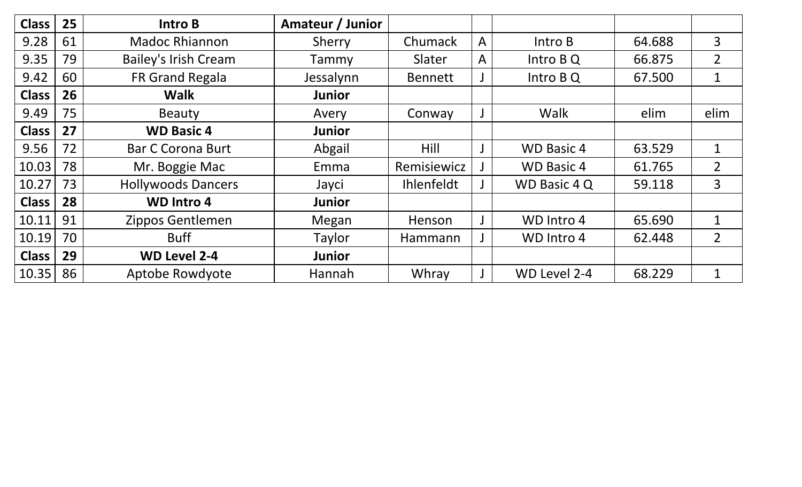| <b>Class</b> | 25 | Intro B                     | Amateur / Junior |                   |              |                     |        |                |
|--------------|----|-----------------------------|------------------|-------------------|--------------|---------------------|--------|----------------|
| 9.28         | 61 | <b>Madoc Rhiannon</b>       | Sherry           | Chumack           | $\mathsf{A}$ | Intro B             | 64.688 | $\overline{3}$ |
| 9.35         | 79 | <b>Bailey's Irish Cream</b> | Tammy            | Slater            | A            | Intro B Q           | 66.875 | $\overline{2}$ |
| 9.42         | 60 | FR Grand Regala             | Jessalynn        | <b>Bennett</b>    |              | Intro B Q           | 67.500 | 1              |
| <b>Class</b> | 26 | <b>Walk</b>                 | <b>Junior</b>    |                   |              |                     |        |                |
| 9.49         | 75 | <b>Beauty</b>               | Avery            | Conway            |              | Walk                | elim   | elim           |
| <b>Class</b> | 27 | <b>WD Basic 4</b>           | <b>Junior</b>    |                   |              |                     |        |                |
| 9.56         | 72 | <b>Bar C Corona Burt</b>    | Abgail           | Hill              |              | <b>WD Basic 4</b>   | 63.529 | 1              |
| 10.03        | 78 | Mr. Boggie Mac              | Emma             | Remisiewicz       |              | <b>WD Basic 4</b>   | 61.765 | $2^{\circ}$    |
| 10.27        | 73 | <b>Hollywoods Dancers</b>   | Jayci            | <b>Ihlenfeldt</b> |              | <b>WD Basic 4 Q</b> | 59.118 | 3              |
| <b>Class</b> | 28 | <b>WD Intro 4</b>           | <b>Junior</b>    |                   |              |                     |        |                |
| 10.11        | 91 | Zippos Gentlemen            | Megan            | Henson            |              | WD Intro 4          | 65.690 | 1              |
| 10.19        | 70 | <b>Buff</b>                 | Taylor           | Hammann           |              | WD Intro 4          | 62.448 | $\overline{2}$ |
| <b>Class</b> | 29 | <b>WD Level 2-4</b>         | <b>Junior</b>    |                   |              |                     |        |                |
| 10.35        | 86 | Aptobe Rowdyote             | Hannah           | Whray             |              | WD Level 2-4        | 68.229 | 1              |